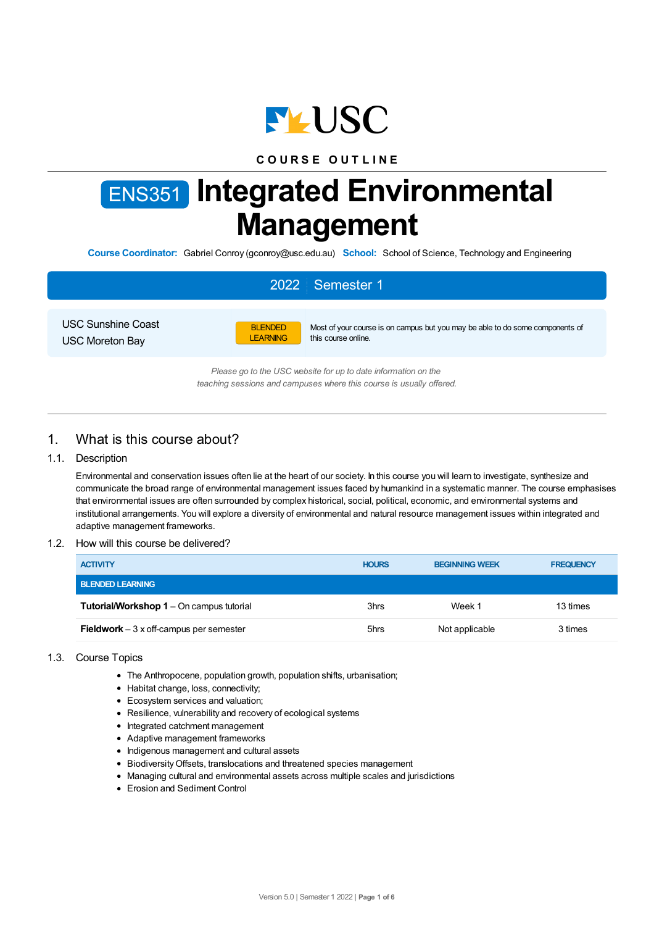

# **C O U R S E O U T L I N E**

# ENS351 **Integrated Environmental Management**

**Course Coordinator:** Gabriel Conroy (gconroy@usc.edu.au) **School:** School of Science, Technology and Engineering

# 2022 Semester 1

USC Sunshine Coast USC Moreton Bay



Most of your course is on campus but you may be able to do some components of this course online.

*Please go to the USC website for up to date information on the teaching sessions and campuses where this course is usually offered.*

# 1. What is this course about?

#### 1.1. Description

Environmental and conservation issues often lie at the heart of our society. In this course you will learn to investigate, synthesize and communicate the broad range of environmental management issues faced by humankind in a systematic manner. The course emphasises that environmental issues are often surrounded by complex historical, social, political, economic, and environmental systems and institutional arrangements. You will explore a diversity of environmental and natural resource management issues within integrated and adaptive management frameworks.

#### 1.2. How will this course be delivered?

| <b>ACTIVITY</b>                                 | <b>HOURS</b> | <b>BEGINNING WEEK</b> | <b>FREQUENCY</b> |
|-------------------------------------------------|--------------|-----------------------|------------------|
| <b>BLENDED LEARNING</b>                         |              |                       |                  |
| <b>Tutorial/Workshop 1 – On campus tutorial</b> | 3hrs         | Week 1                | 13 times         |
| <b>Fieldwork</b> $-3x$ off-campus per semester  | 5hrs         | Not applicable        | 3 times          |

## 1.3. Course Topics

- The Anthropocene, population growth, population shifts, urbanisation;
- Habitat change, loss, connectivity;
- Ecosystem services and valuation;
- Resilience, vulnerability and recovery of ecological systems
- Integrated catchment management
- Adaptive management frameworks
- Indigenous management and cultural assets
- BiodiversityOffsets, translocations and threatened species management
- Managing cultural and environmental assets across multiple scales and jurisdictions
- Erosion and Sediment Control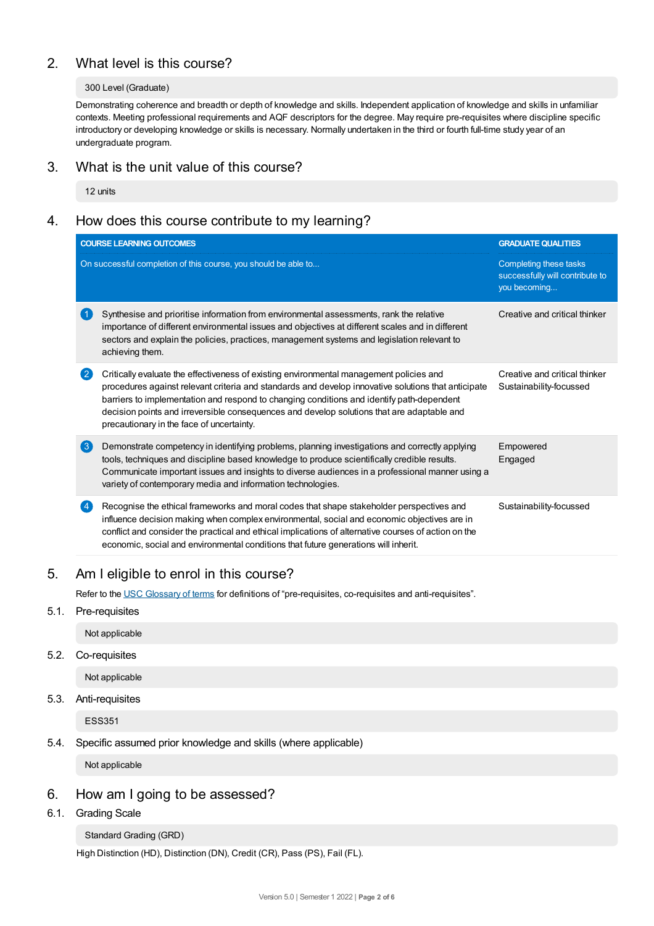# 2. What level is this course?

## 300 Level (Graduate)

Demonstrating coherence and breadth or depth of knowledge and skills. Independent application of knowledge and skills in unfamiliar contexts. Meeting professional requirements and AQF descriptors for the degree. May require pre-requisites where discipline specific introductory or developing knowledge or skills is necessary. Normally undertaken in the third or fourth full-time study year of an undergraduate program.

## 3. What is the unit value of this course?

12 units

# 4. How does this course contribute to my learning?

|                                                                                                            | <b>COURSE LEARNING OUTCOMES</b>                                                                                                                                                                                                                                                                                                                                                                                                        | <b>GRADUATE QUALITIES</b>                                                 |  |  |
|------------------------------------------------------------------------------------------------------------|----------------------------------------------------------------------------------------------------------------------------------------------------------------------------------------------------------------------------------------------------------------------------------------------------------------------------------------------------------------------------------------------------------------------------------------|---------------------------------------------------------------------------|--|--|
|                                                                                                            | On successful completion of this course, you should be able to                                                                                                                                                                                                                                                                                                                                                                         | Completing these tasks<br>successfully will contribute to<br>you becoming |  |  |
| -1                                                                                                         | Synthesise and prioritise information from environmental assessments, rank the relative<br>importance of different environmental issues and objectives at different scales and in different<br>sectors and explain the policies, practices, management systems and legislation relevant to<br>achieving them.                                                                                                                          | Creative and critical thinker                                             |  |  |
| $\left( 2\right)$                                                                                          | Critically evaluate the effectiveness of existing environmental management policies and<br>procedures against relevant criteria and standards and develop innovative solutions that anticipate<br>barriers to implementation and respond to changing conditions and identify path-dependent<br>decision points and irreversible consequences and develop solutions that are adaptable and<br>precautionary in the face of uncertainty. | Creative and critical thinker<br>Sustainability-focussed                  |  |  |
| $\left( 3 \right)$                                                                                         | Demonstrate competency in identifying problems, planning investigations and correctly applying<br>tools, techniques and discipline based knowledge to produce scientifically credible results.<br>Communicate important issues and insights to diverse audiences in a professional manner using a<br>variety of contemporary media and information technologies.                                                                       | Empowered<br>Engaged                                                      |  |  |
|                                                                                                            | Recognise the ethical frameworks and moral codes that shape stakeholder perspectives and<br>influence decision making when complex environmental, social and economic objectives are in<br>conflict and consider the practical and ethical implications of alternative courses of action on the<br>economic, social and environmental conditions that future generations will inherit.                                                 | Sustainability-focussed                                                   |  |  |
|                                                                                                            | Am I eligible to enrol in this course?                                                                                                                                                                                                                                                                                                                                                                                                 |                                                                           |  |  |
| Refer to the USC Glossary of terms for definitions of "pre-requisites, co-requisites and anti-requisites". |                                                                                                                                                                                                                                                                                                                                                                                                                                        |                                                                           |  |  |
|                                                                                                            | Pre-requisites                                                                                                                                                                                                                                                                                                                                                                                                                         |                                                                           |  |  |
|                                                                                                            | Not applicable                                                                                                                                                                                                                                                                                                                                                                                                                         |                                                                           |  |  |
|                                                                                                            | Co-requisites                                                                                                                                                                                                                                                                                                                                                                                                                          |                                                                           |  |  |
|                                                                                                            |                                                                                                                                                                                                                                                                                                                                                                                                                                        |                                                                           |  |  |

Not applicable

5.3. Anti-requisites

 $5.1.$ 

 $5.2.$ 

ESS351

## 5.4. Specific assumed prior knowledge and skills (where applicable)

Not applicable

## 6. How am Igoing to be assessed?

6.1. Grading Scale

## Standard Grading (GRD)

High Distinction (HD), Distinction (DN), Credit (CR), Pass (PS), Fail (FL).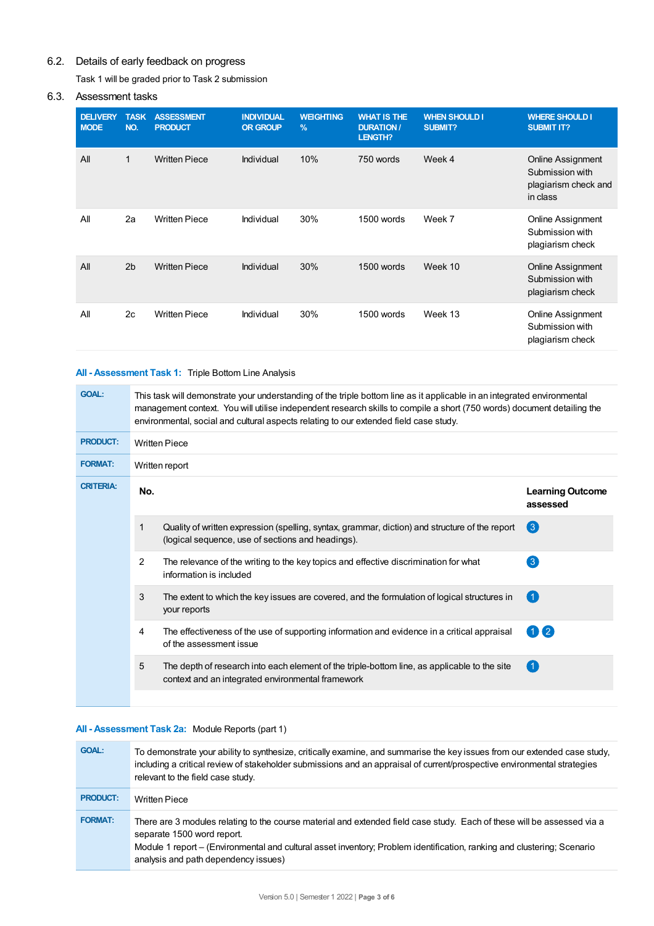# 6.2. Details of early feedback on progress

Task 1 will be graded prior to Task 2 submission

## 6.3. Assessment tasks

| <b>DELIVERY</b><br><b>MODE</b> | <b>TASK</b><br>NO. | <b>ASSESSMENT</b><br><b>PRODUCT</b> | <b>INDIVIDUAL</b><br><b>OR GROUP</b> | <b>WEIGHTING</b><br>$\frac{9}{6}$ | <b>WHAT IS THE</b><br><b>DURATION /</b><br>LENGTH? | <b>WHEN SHOULD I</b><br><b>SUBMIT?</b> | <b>WHERE SHOULD I</b><br><b>SUBMIT IT?</b>                               |
|--------------------------------|--------------------|-------------------------------------|--------------------------------------|-----------------------------------|----------------------------------------------------|----------------------------------------|--------------------------------------------------------------------------|
| All                            | $\mathbf{1}$       | <b>Written Piece</b>                | Individual                           | 10%                               | 750 words                                          | Week 4                                 | Online Assignment<br>Submission with<br>plagiarism check and<br>in class |
| All                            | 2a                 | <b>Written Piece</b>                | Individual                           | 30%                               | 1500 words                                         | Week 7                                 | Online Assignment<br>Submission with<br>plagiarism check                 |
| All                            | 2 <sub>b</sub>     | <b>Written Piece</b>                | Individual                           | 30%                               | 1500 words                                         | Week 10                                | Online Assignment<br>Submission with<br>plagiarism check                 |
| All                            | 2c                 | <b>Written Piece</b>                | Individual                           | 30%                               | 1500 words                                         | Week 13                                | Online Assignment<br>Submission with<br>plagiarism check                 |

## **All - Assessment Task 1:** Triple Bottom Line Analysis

| <b>GOAL:</b>     | This task will demonstrate your understanding of the triple bottom line as it applicable in an integrated environmental<br>management context. You will utilise independent research skills to compile a short (750 words) document detailing the<br>environmental, social and cultural aspects relating to our extended field case study. |                                                                                                                                                     |                                     |  |  |
|------------------|--------------------------------------------------------------------------------------------------------------------------------------------------------------------------------------------------------------------------------------------------------------------------------------------------------------------------------------------|-----------------------------------------------------------------------------------------------------------------------------------------------------|-------------------------------------|--|--|
| <b>PRODUCT:</b>  | <b>Written Piece</b>                                                                                                                                                                                                                                                                                                                       |                                                                                                                                                     |                                     |  |  |
| <b>FORMAT:</b>   | Written report                                                                                                                                                                                                                                                                                                                             |                                                                                                                                                     |                                     |  |  |
| <b>CRITERIA:</b> | No.                                                                                                                                                                                                                                                                                                                                        |                                                                                                                                                     | <b>Learning Outcome</b><br>assessed |  |  |
|                  | 1                                                                                                                                                                                                                                                                                                                                          | Quality of written expression (spelling, syntax, grammar, diction) and structure of the report<br>(logical sequence, use of sections and headings). | (3)                                 |  |  |
|                  | 2                                                                                                                                                                                                                                                                                                                                          | The relevance of the writing to the key topics and effective discrimination for what<br>information is included                                     | $\left 3\right $                    |  |  |
|                  | 3                                                                                                                                                                                                                                                                                                                                          | The extent to which the key issues are covered, and the formulation of logical structures in<br>your reports                                        | $\left( 1\right)$                   |  |  |
|                  | 4                                                                                                                                                                                                                                                                                                                                          | The effectiveness of the use of supporting information and evidence in a critical appraisal<br>of the assessment issue                              | $(1)$ (2)                           |  |  |
|                  | 5                                                                                                                                                                                                                                                                                                                                          | The depth of research into each element of the triple-bottom line, as applicable to the site<br>context and an integrated environmental framework   | $\blacksquare$                      |  |  |
|                  |                                                                                                                                                                                                                                                                                                                                            |                                                                                                                                                     |                                     |  |  |

## **All - Assessment Task 2a:** Module Reports (part 1)

| <b>GOAL:</b>    | To demonstrate your ability to synthesize, critically examine, and summarise the key issues from our extended case study,<br>including a critical review of stakeholder submissions and an appraisal of current/prospective environmental strategies<br>relevant to the field case study.                                |
|-----------------|--------------------------------------------------------------------------------------------------------------------------------------------------------------------------------------------------------------------------------------------------------------------------------------------------------------------------|
| <b>PRODUCT:</b> | <b>Written Piece</b>                                                                                                                                                                                                                                                                                                     |
| <b>FORMAT:</b>  | There are 3 modules relating to the course material and extended field case study. Each of these will be assessed via a<br>separate 1500 word report.<br>Module 1 report – (Environmental and cultural asset inventory; Problem identification, ranking and clustering; Scenario<br>analysis and path dependency issues) |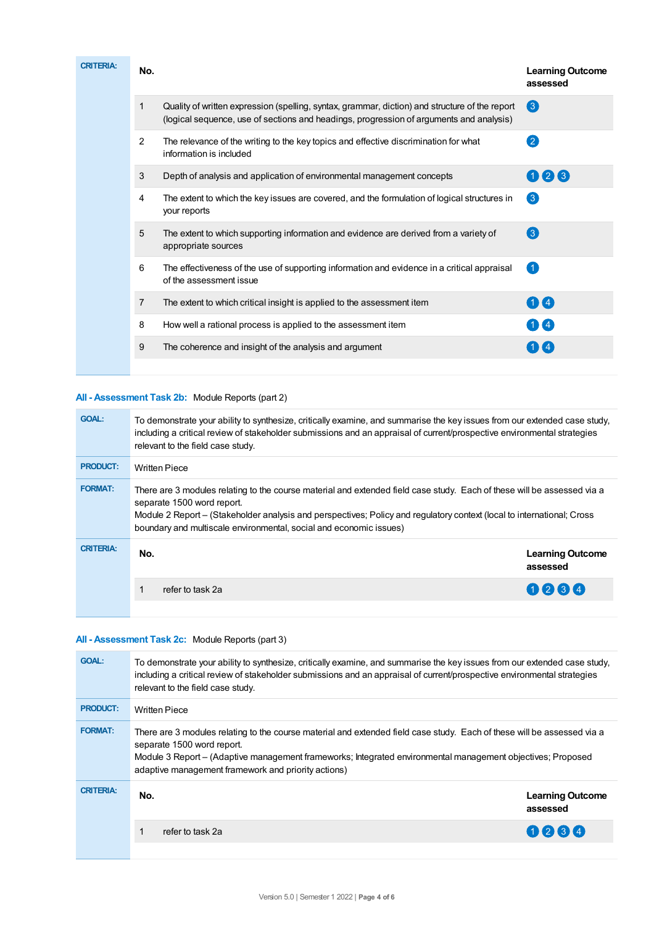| <b>CRITERIA:</b> | No.            |                                                                                                                                                                                           | <b>Learning Outcome</b><br>assessed |
|------------------|----------------|-------------------------------------------------------------------------------------------------------------------------------------------------------------------------------------------|-------------------------------------|
|                  |                | Quality of written expression (spelling, syntax, grammar, diction) and structure of the report<br>(logical sequence, use of sections and headings, progression of arguments and analysis) | $\left( 3 \right)$                  |
|                  | $\overline{2}$ | The relevance of the writing to the key topics and effective discrimination for what<br>information is included                                                                           | $\left( 2\right)$                   |
|                  | 3              | Depth of analysis and application of environmental management concepts                                                                                                                    | 023                                 |
|                  | 4              | The extent to which the key issues are covered, and the formulation of logical structures in<br>your reports                                                                              | $\left(3\right)$                    |
|                  | 5              | The extent to which supporting information and evidence are derived from a variety of<br>appropriate sources                                                                              | 3                                   |
|                  | 6              | The effectiveness of the use of supporting information and evidence in a critical appraisal<br>of the assessment issue                                                                    | $\left( 1 \right)$                  |
|                  | $\overline{7}$ | The extent to which critical insight is applied to the assessment item                                                                                                                    | $\mathbf{1}$ (4)                    |
|                  | 8              | How well a rational process is applied to the assessment item                                                                                                                             |                                     |
|                  | 9              | The coherence and insight of the analysis and argument                                                                                                                                    |                                     |
|                  |                |                                                                                                                                                                                           |                                     |

## **All - Assessment Task 2b:** Module Reports (part 2)

| <b>GOAL:</b>     | To demonstrate your ability to synthesize, critically examine, and summarise the key issues from our extended case study,<br>including a critical review of stakeholder submissions and an appraisal of current/prospective environmental strategies<br>relevant to the field case study.                                                             |                                     |  |
|------------------|-------------------------------------------------------------------------------------------------------------------------------------------------------------------------------------------------------------------------------------------------------------------------------------------------------------------------------------------------------|-------------------------------------|--|
| <b>PRODUCT:</b>  | <b>Written Piece</b>                                                                                                                                                                                                                                                                                                                                  |                                     |  |
| <b>FORMAT:</b>   | There are 3 modules relating to the course material and extended field case study. Each of these will be assessed via a<br>separate 1500 word report.<br>Module 2 Report – (Stakeholder analysis and perspectives; Policy and regulatory context (local to international; Cross<br>boundary and multiscale environmental, social and economic issues) |                                     |  |
| <b>CRITERIA:</b> | No.                                                                                                                                                                                                                                                                                                                                                   | <b>Learning Outcome</b><br>assessed |  |
|                  | 1<br>refer to task 2a                                                                                                                                                                                                                                                                                                                                 | 0234                                |  |
|                  |                                                                                                                                                                                                                                                                                                                                                       |                                     |  |

## **All - Assessment Task 2c:** Module Reports (part 3)

| <b>GOAL:</b>     | To demonstrate your ability to synthesize, critically examine, and summarise the key issues from our extended case study,<br>including a critical review of stakeholder submissions and an appraisal of current/prospective environmental strategies<br>relevant to the field case study.                                   |                                     |  |  |  |
|------------------|-----------------------------------------------------------------------------------------------------------------------------------------------------------------------------------------------------------------------------------------------------------------------------------------------------------------------------|-------------------------------------|--|--|--|
| <b>PRODUCT:</b>  | <b>Written Piece</b>                                                                                                                                                                                                                                                                                                        |                                     |  |  |  |
| <b>FORMAT:</b>   | There are 3 modules relating to the course material and extended field case study. Each of these will be assessed via a<br>separate 1500 word report.<br>Module 3 Report - (Adaptive management frameworks; Integrated environmental management objectives; Proposed<br>adaptive management framework and priority actions) |                                     |  |  |  |
| <b>CRITERIA:</b> | No.                                                                                                                                                                                                                                                                                                                         | <b>Learning Outcome</b><br>assessed |  |  |  |
|                  | refer to task 2a                                                                                                                                                                                                                                                                                                            | 0234                                |  |  |  |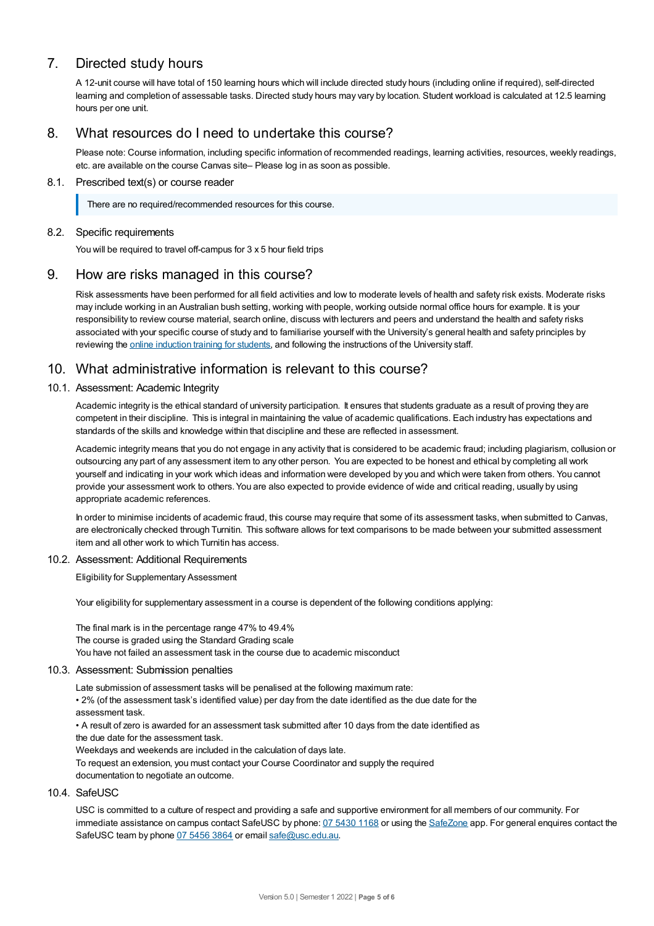# 7. Directed study hours

A 12-unit course will have total of 150 learning hours which will include directed study hours (including online if required), self-directed learning and completion of assessable tasks. Directed study hours may vary by location. Student workload is calculated at 12.5 learning hours per one unit.

## 8. What resources do I need to undertake this course?

Please note: Course information, including specific information of recommended readings, learning activities, resources, weekly readings, etc. are available on the course Canvas site– Please log in as soon as possible.

#### 8.1. Prescribed text(s) or course reader

There are no required/recommended resources for this course.

#### 8.2. Specific requirements

You will be required to travel off-campus for 3 x 5 hour field trips

## 9. How are risks managed in this course?

Risk assessments have been performed for all field activities and low to moderate levels of health and safety risk exists. Moderate risks may include working in an Australian bush setting, working with people, working outside normal office hours for example. It is your responsibility to review course material, search online, discuss with lecturers and peers and understand the health and safety risks associated with your specific course of study and to familiarise yourself with the University's general health and safety principles by reviewing the online [induction](https://online.usc.edu.au/webapps/blackboard/content/listContentEditable.jsp?content_id=_632657_1&course_id=_14432_1) training for students, and following the instructions of the University staff.

## 10. What administrative information is relevant to this course?

#### 10.1. Assessment: Academic Integrity

Academic integrity is the ethical standard of university participation. It ensures that students graduate as a result of proving they are competent in their discipline. This is integral in maintaining the value of academic qualifications. Each industry has expectations and standards of the skills and knowledge within that discipline and these are reflected in assessment.

Academic integrity means that you do not engage in any activity that is considered to be academic fraud; including plagiarism, collusion or outsourcing any part of any assessment item to any other person. You are expected to be honest and ethical by completing all work yourself and indicating in your work which ideas and information were developed by you and which were taken from others. You cannot provide your assessment work to others.You are also expected to provide evidence of wide and critical reading, usually by using appropriate academic references.

In order to minimise incidents of academic fraud, this course may require that some of its assessment tasks, when submitted to Canvas, are electronically checked through Turnitin. This software allows for text comparisons to be made between your submitted assessment item and all other work to which Turnitin has access.

### 10.2. Assessment: Additional Requirements

Eligibility for Supplementary Assessment

Your eligibility for supplementary assessment in a course is dependent of the following conditions applying:

The final mark is in the percentage range 47% to 49.4% The course is graded using the Standard Grading scale You have not failed an assessment task in the course due to academic misconduct

#### 10.3. Assessment: Submission penalties

Late submission of assessment tasks will be penalised at the following maximum rate:

• 2% (of the assessment task's identified value) per day from the date identified as the due date for the assessment task.

• A result of zero is awarded for an assessment task submitted after 10 days from the date identified as the due date for the assessment task.

Weekdays and weekends are included in the calculation of days late.

To request an extension, you must contact your Course Coordinator and supply the required documentation to negotiate an outcome.

#### 10.4. SafeUSC

USC is committed to a culture of respect and providing a safe and supportive environment for all members of our community. For immediate assistance on campus contact SafeUSC by phone: 07 [5430](tel:07%205430%201168) 1168 or using the [SafeZone](https://www.safezoneapp.com) app. For general enquires contact the SafeUSC team by phone 07 [5456](tel:07%205456%203864) 3864 or email [safe@usc.edu.au](mailto:safe@usc.edu.au).